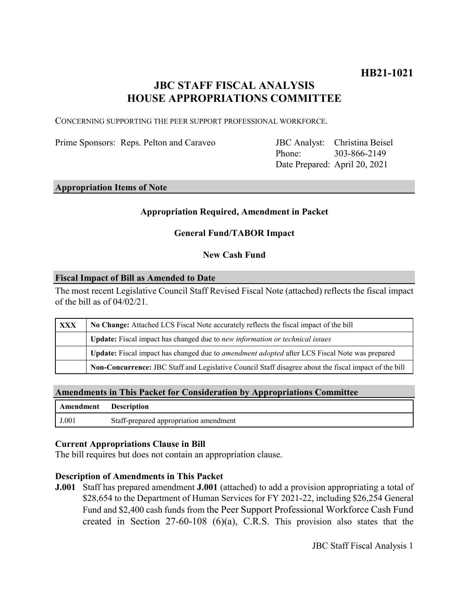# **JBC STAFF FISCAL ANALYSIS HOUSE APPROPRIATIONS COMMITTEE**

CONCERNING SUPPORTING THE PEER SUPPORT PROFESSIONAL WORKFORCE.

Prime Sponsors: Reps. Pelton and Caraveo

Phone: Date Prepared: April 20, 2021 JBC Analyst: Christina Beisel 303-866-2149

### **Appropriation Items of Note**

# **Appropriation Required, Amendment in Packet**

# **General Fund/TABOR Impact**

### **New Cash Fund**

#### **Fiscal Impact of Bill as Amended to Date**

The most recent Legislative Council Staff Revised Fiscal Note (attached) reflects the fiscal impact of the bill as of 04/02/21.

| XXX | No Change: Attached LCS Fiscal Note accurately reflects the fiscal impact of the bill                       |
|-----|-------------------------------------------------------------------------------------------------------------|
|     | Update: Fiscal impact has changed due to new information or technical issues                                |
|     | <b>Update:</b> Fiscal impact has changed due to <i>amendment adopted</i> after LCS Fiscal Note was prepared |
|     | Non-Concurrence: JBC Staff and Legislative Council Staff disagree about the fiscal impact of the bill       |

#### **Amendments in This Packet for Consideration by Appropriations Committee**

| Amendment Description |                                        |
|-----------------------|----------------------------------------|
| J.001                 | Staff-prepared appropriation amendment |

#### **Current Appropriations Clause in Bill**

The bill requires but does not contain an appropriation clause.

#### **Description of Amendments in This Packet**

**J.001** Staff has prepared amendment **J.001** (attached) to add a provision appropriating a total of \$28,654 to the Department of Human Services for FY 2021-22, including \$26,254 General Fund and \$2,400 cash funds from the Peer Support Professional Workforce Cash Fund created in Section 27-60-108 (6)(a), C.R.S. This provision also states that the